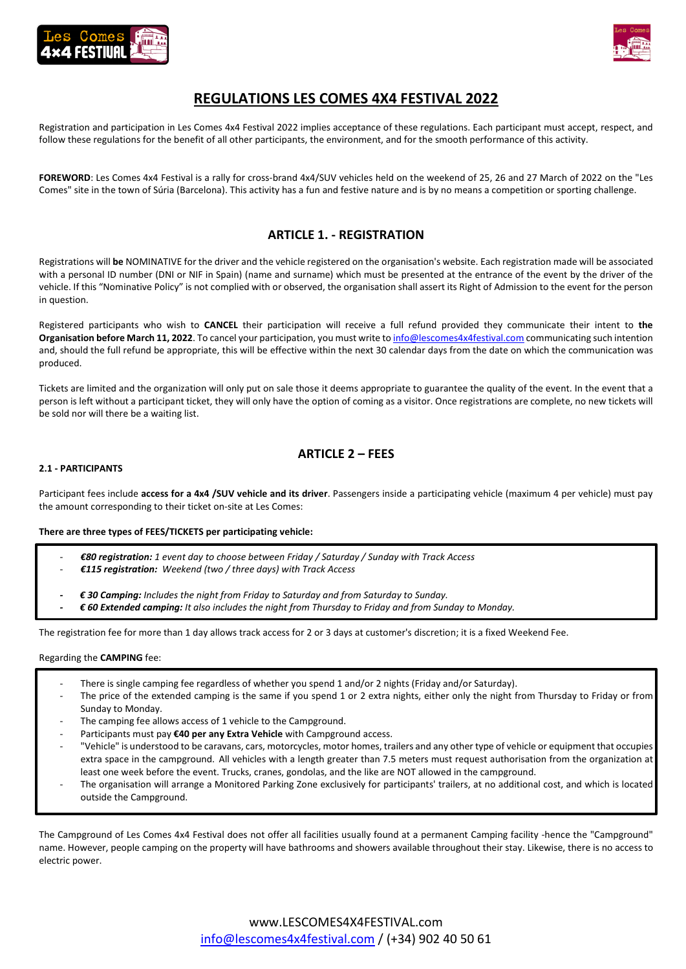



# **REGULATIONS LES COMES 4X4 FESTIVAL 2022**

Registration and participation in Les Comes 4x4 Festival 2022 implies acceptance of these regulations. Each participant must accept, respect, and follow these regulations for the benefit of all other participants, the environment, and for the smooth performance of this activity.

**FOREWORD**: Les Comes 4x4 Festival is a rally for cross-brand 4x4/SUV vehicles held on the weekend of 25, 26 and 27 March of 2022 on the "Les Comes" site in the town of Súria (Barcelona). This activity has a fun and festive nature and is by no means a competition or sporting challenge.

## **ARTICLE 1. - REGISTRATION**

Registrations will **be** NOMINATIVE for the driver and the vehicle registered on the organisation's website. Each registration made will be associated with a personal ID number (DNI or NIF in Spain) (name and surname) which must be presented at the entrance of the event by the driver of the vehicle. If this "Nominative Policy" is not complied with or observed, the organisation shall assert its Right of Admission to the event for the person in question.

Registered participants who wish to **CANCEL** their participation will receive a full refund provided they communicate their intent to **the Organisation before March 11, 2022**. To cancel your participation, you must write t[o info@lescomes4x4festival.com](mailto:info@lescomes4x4festival.com) communicating such intention and, should the full refund be appropriate, this will be effective within the next 30 calendar days from the date on which the communication was produced.

Tickets are limited and the organization will only put on sale those it deems appropriate to guarantee the quality of the event. In the event that a person is left without a participant ticket, they will only have the option of coming as a visitor. Once registrations are complete, no new tickets will be sold nor will there be a waiting list.

## **ARTICLE 2 – FEES**

## **2.1 - PARTICIPANTS**

Participant fees include **access for a 4x4 /SUV vehicle and its driver**. Passengers inside a participating vehicle (maximum 4 per vehicle) must pay the amount corresponding to their ticket on-site at Les Comes:

**There are three types of FEES/TICKETS per participating vehicle:**

- *€80 registration: 1 event day to choose between Friday / Saturday / Sunday with Track Access*
- *€115 registration: Weekend (two / three days) with Track Access*
- *- € 30 Camping: Includes the night from Friday to Saturday and from Saturday to Sunday.*
- *- € 60 Extended camping: It also includes the night from Thursday to Friday and from Sunday to Monday.*

The registration fee for more than 1 day allows track access for 2 or 3 days at customer's discretion; it is a fixed Weekend Fee.

#### Regarding the **CAMPING** fee:

- There is single camping fee regardless of whether you spend 1 and/or 2 nights (Friday and/or Saturday).
- The price of the extended camping is the same if you spend 1 or 2 extra nights, either only the night from Thursday to Friday or from Sunday to Monday.
- The camping fee allows access of 1 vehicle to the Campground.
- Participants must pay €40 per any Extra Vehicle with Campground access.
- "Vehicle" is understood to be caravans, cars, motorcycles, motor homes, trailers and any other type of vehicle or equipment that occupies extra space in the campground. All vehicles with a length greater than 7.5 meters must request authorisation from the organization at least one week before the event. Trucks, cranes, gondolas, and the like are NOT allowed in the campground.
- The organisation will arrange a Monitored Parking Zone exclusively for participants' trailers, at no additional cost, and which is located outside the Campground.

The Campground of Les Comes 4x4 Festival does not offer all facilities usually found at a permanent Camping facility -hence the "Campground" name. However, people camping on the property will have bathrooms and showers available throughout their stay. Likewise, there is no access to electric power.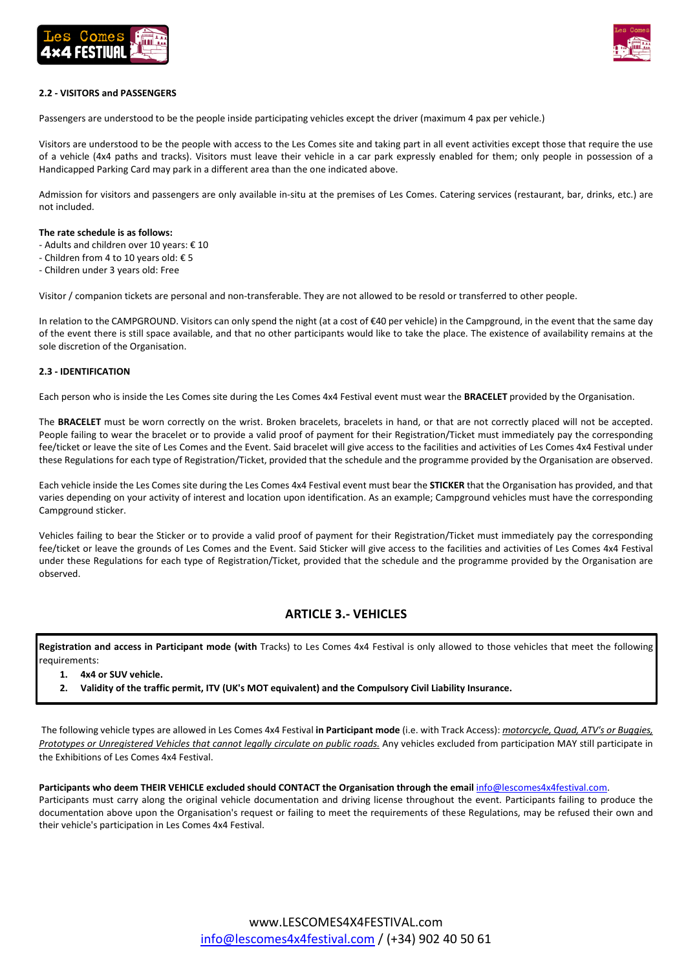



## **2.2 - VISITORS and PASSENGERS**

Passengers are understood to be the people inside participating vehicles except the driver (maximum 4 pax per vehicle.)

Visitors are understood to be the people with access to the Les Comes site and taking part in all event activities except those that require the use of a vehicle (4x4 paths and tracks). Visitors must leave their vehicle in a car park expressly enabled for them; only people in possession of a Handicapped Parking Card may park in a different area than the one indicated above.

Admission for visitors and passengers are only available in-situ at the premises of Les Comes. Catering services (restaurant, bar, drinks, etc.) are not included.

### **The rate schedule is as follows:**

- Adults and children over 10 years: € 10
- Children from 4 to 10 years old: € 5
- Children under 3 years old: Free

Visitor / companion tickets are personal and non-transferable. They are not allowed to be resold or transferred to other people.

In relation to the CAMPGROUND. Visitors can only spend the night (at a cost of €40 per vehicle) in the Campground, in the event that the same day of the event there is still space available, and that no other participants would like to take the place. The existence of availability remains at the sole discretion of the Organisation.

## **2.3 - IDENTIFICATION**

Each person who is inside the Les Comes site during the Les Comes 4x4 Festival event must wear the **BRACELET** provided by the Organisation.

The **BRACELET** must be worn correctly on the wrist. Broken bracelets, bracelets in hand, or that are not correctly placed will not be accepted. People failing to wear the bracelet or to provide a valid proof of payment for their Registration/Ticket must immediately pay the corresponding fee/ticket or leave the site of Les Comes and the Event. Said bracelet will give access to the facilities and activities of Les Comes 4x4 Festival under these Regulations for each type of Registration/Ticket, provided that the schedule and the programme provided by the Organisation are observed.

Each vehicle inside the Les Comes site during the Les Comes 4x4 Festival event must bear the **STICKER** that the Organisation has provided, and that varies depending on your activity of interest and location upon identification. As an example; Campground vehicles must have the corresponding Campground sticker.

Vehicles failing to bear the Sticker or to provide a valid proof of payment for their Registration/Ticket must immediately pay the corresponding fee/ticket or leave the grounds of Les Comes and the Event. Said Sticker will give access to the facilities and activities of Les Comes 4x4 Festival under these Regulations for each type of Registration/Ticket, provided that the schedule and the programme provided by the Organisation are observed.

## **ARTICLE 3.- VEHICLES**

**Registration and access in Participant mode (with** Tracks) to Les Comes 4x4 Festival is only allowed to those vehicles that meet the following requirements:

- **1. 4x4 or SUV vehicle.**
- **2. Validity of the traffic permit, ITV (UK's MOT equivalent) and the Compulsory Civil Liability Insurance.**

The following vehicle types are allowed in Les Comes 4x4 Festival **in Participant mode** (i.e. with Track Access): *motorcycle, Quad, ATV's or Buggies, Prototypes or Unregistered Vehicles that cannot legally circulate on public roads.* Any vehicles excluded from participation MAY still participate in the Exhibitions of Les Comes 4x4 Festival.

#### Participants who deem THEIR VEHICLE excluded should CONTACT the Organisation through the email [info@lescomes4x4festival.com.](mailto:info@lescomes4x4festival.com)

Participants must carry along the original vehicle documentation and driving license throughout the event. Participants failing to produce the documentation above upon the Organisation's request or failing to meet the requirements of these Regulations, may be refused their own and their vehicle's participation in Les Comes 4x4 Festival.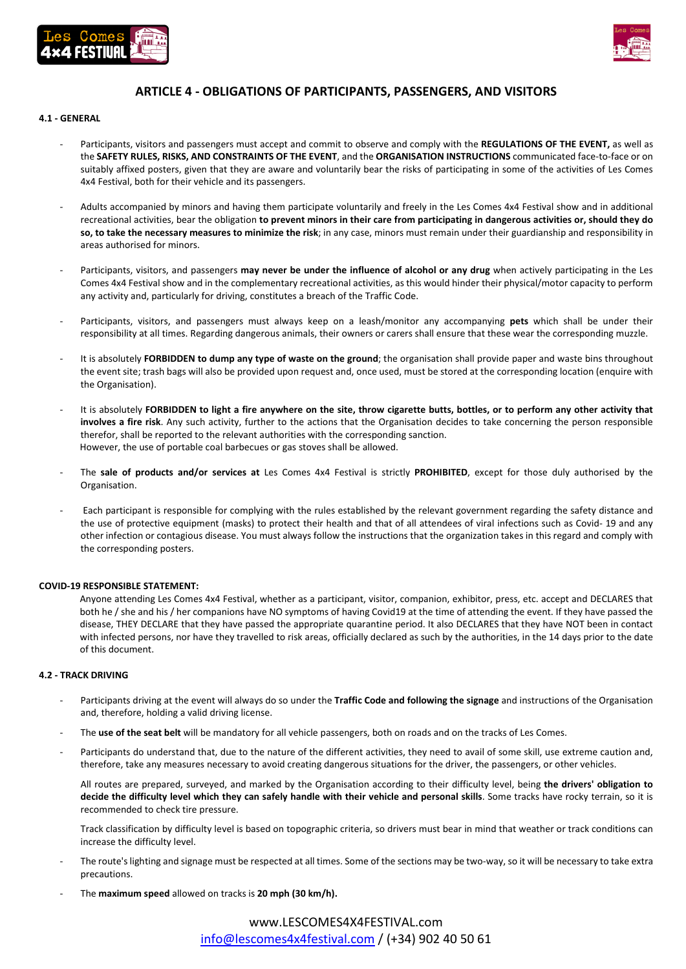



## **ARTICLE 4 - OBLIGATIONS OF PARTICIPANTS, PASSENGERS, AND VISITORS**

### **4.1 - GENERAL**

- Participants, visitors and passengers must accept and commit to observe and comply with the **REGULATIONS OF THE EVENT,** as well as the **SAFETY RULES, RISKS, AND CONSTRAINTS OF THE EVENT**, and the **ORGANISATION INSTRUCTIONS** communicated face-to-face or on suitably affixed posters, given that they are aware and voluntarily bear the risks of participating in some of the activities of Les Comes 4x4 Festival, both for their vehicle and its passengers.
- Adults accompanied by minors and having them participate voluntarily and freely in the Les Comes 4x4 Festival show and in additional recreational activities, bear the obligation **to prevent minors in their care from participating in dangerous activities or, should they do so, to take the necessary measures to minimize the risk**; in any case, minors must remain under their guardianship and responsibility in areas authorised for minors.
- Participants, visitors, and passengers may never be under the influence of alcohol or any drug when actively participating in the Les Comes 4x4 Festival show and in the complementary recreational activities, as this would hinder their physical/motor capacity to perform any activity and, particularly for driving, constitutes a breach of the Traffic Code.
- Participants, visitors, and passengers must always keep on a leash/monitor any accompanying **pets** which shall be under their responsibility at all times. Regarding dangerous animals, their owners or carers shall ensure that these wear the corresponding muzzle.
- It is absolutely **FORBIDDEN to dump any type of waste on the ground**; the organisation shall provide paper and waste bins throughout the event site; trash bags will also be provided upon request and, once used, must be stored at the corresponding location (enquire with the Organisation).
- It is absolutely **FORBIDDEN to light a fire anywhere on the site, throw cigarette butts, bottles, or to perform any other activity that involves a fire risk**. Any such activity, further to the actions that the Organisation decides to take concerning the person responsible therefor, shall be reported to the relevant authorities with the corresponding sanction. However, the use of portable coal barbecues or gas stoves shall be allowed.
- The **sale of products and/or services at** Les Comes 4x4 Festival is strictly **PROHIBITED**, except for those duly authorised by the Organisation.
- Each participant is responsible for complying with the rules established by the relevant government regarding the safety distance and the use of protective equipment (masks) to protect their health and that of all attendees of viral infections such as Covid- 19 and any other infection or contagious disease. You must always follow the instructions that the organization takes in this regard and comply with the corresponding posters.

#### **COVID-19 RESPONSIBLE STATEMENT:**

Anyone attending Les Comes 4x4 Festival, whether as a participant, visitor, companion, exhibitor, press, etc. accept and DECLARES that both he / she and his / her companions have NO symptoms of having Covid19 at the time of attending the event. If they have passed the disease, THEY DECLARE that they have passed the appropriate quarantine period. It also DECLARES that they have NOT been in contact with infected persons, nor have they travelled to risk areas, officially declared as such by the authorities, in the 14 days prior to the date of this document.

## **4.2 - TRACK DRIVING**

- Participants driving at the event will always do so under the **Traffic Code and following the signage** and instructions of the Organisation and, therefore, holding a valid driving license.
- The use of the seat belt will be mandatory for all vehicle passengers, both on roads and on the tracks of Les Comes.
- Participants do understand that, due to the nature of the different activities, they need to avail of some skill, use extreme caution and, therefore, take any measures necessary to avoid creating dangerous situations for the driver, the passengers, or other vehicles.

All routes are prepared, surveyed, and marked by the Organisation according to their difficulty level, being **the drivers' obligation to decide the difficulty level which they can safely handle with their vehicle and personal skills**. Some tracks have rocky terrain, so it is recommended to check tire pressure.

Track classification by difficulty level is based on topographic criteria, so drivers must bear in mind that weather or track conditions can increase the difficulty level.

- The route's lighting and signage must be respected at all times. Some of the sections may be two-way, so it will be necessary to take extra precautions.
- The **maximum speed** allowed on tracks is **20 mph (30 km/h).**

## www.LESCOMES4X4FESTIVAL.com [info@lescomes4x4festival.com](mailto:info@lescomes4x4festival.com) / (+34) 902 40 50 61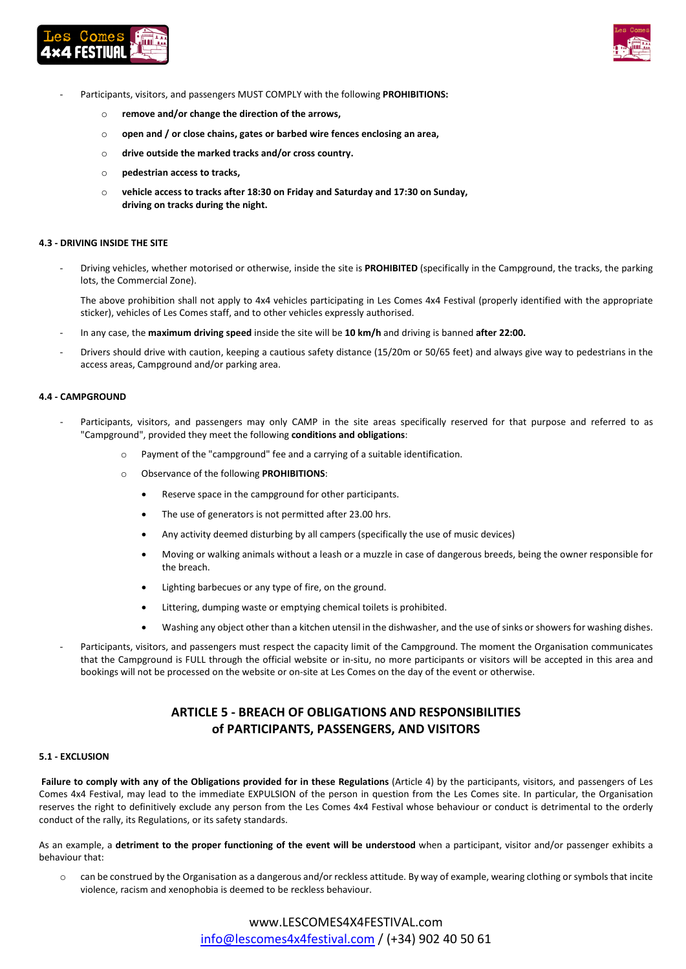



- Participants, visitors, and passengers MUST COMPLY with the following **PROHIBITIONS:** 
	- o **remove and/or change the direction of the arrows,**
	- o **open and / or close chains, gates or barbed wire fences enclosing an area,**
	- o **drive outside the marked tracks and/or cross country.**
	- o **pedestrian access to tracks,**
	- o **vehicle access to tracks after 18:30 on Friday and Saturday and 17:30 on Sunday, driving on tracks during the night.**

#### **4.3 - DRIVING INSIDE THE SITE**

- Driving vehicles, whether motorised or otherwise, inside the site is **PROHIBITED** (specifically in the Campground, the tracks, the parking lots, the Commercial Zone).

The above prohibition shall not apply to 4x4 vehicles participating in Les Comes 4x4 Festival (properly identified with the appropriate sticker), vehicles of Les Comes staff, and to other vehicles expressly authorised.

- In any case, the **maximum driving speed** inside the site will be **10 km/h** and driving is banned **after 22:00.**
- Drivers should drive with caution, keeping a cautious safety distance (15/20m or 50/65 feet) and always give way to pedestrians in the access areas, Campground and/or parking area.

#### **4.4 - CAMPGROUND**

- Participants, visitors, and passengers may only CAMP in the site areas specifically reserved for that purpose and referred to as "Campground", provided they meet the following **conditions and obligations**:
	- o Payment of the "campground" fee and a carrying of a suitable identification.
	- o Observance of the following **PROHIBITIONS**:
		- Reserve space in the campground for other participants.
		- The use of generators is not permitted after 23.00 hrs.
		- Any activity deemed disturbing by all campers (specifically the use of music devices)
		- Moving or walking animals without a leash or a muzzle in case of dangerous breeds, being the owner responsible for the breach.
		- Lighting barbecues or any type of fire, on the ground.
		- Littering, dumping waste or emptying chemical toilets is prohibited.
		- Washing any object other than a kitchen utensil in the dishwasher, and the use of sinks or showers for washing dishes.
- Participants, visitors, and passengers must respect the capacity limit of the Campground. The moment the Organisation communicates that the Campground is FULL through the official website or in-situ, no more participants or visitors will be accepted in this area and bookings will not be processed on the website or on-site at Les Comes on the day of the event or otherwise.

## **ARTICLE 5 - BREACH OF OBLIGATIONS AND RESPONSIBILITIES of PARTICIPANTS, PASSENGERS, AND VISITORS**

#### **5.1 - EXCLUSION**

**Failure to comply with any of the Obligations provided for in these Regulations** (Article 4) by the participants, visitors, and passengers of Les Comes 4x4 Festival, may lead to the immediate EXPULSION of the person in question from the Les Comes site. In particular, the Organisation reserves the right to definitively exclude any person from the Les Comes 4x4 Festival whose behaviour or conduct is detrimental to the orderly conduct of the rally, its Regulations, or its safety standards.

As an example, a **detriment to the proper functioning of the event will be understood** when a participant, visitor and/or passenger exhibits a behaviour that:

o can be construed by the Organisation as a dangerous and/or reckless attitude. By way of example, wearing clothing or symbols that incite violence, racism and xenophobia is deemed to be reckless behaviour.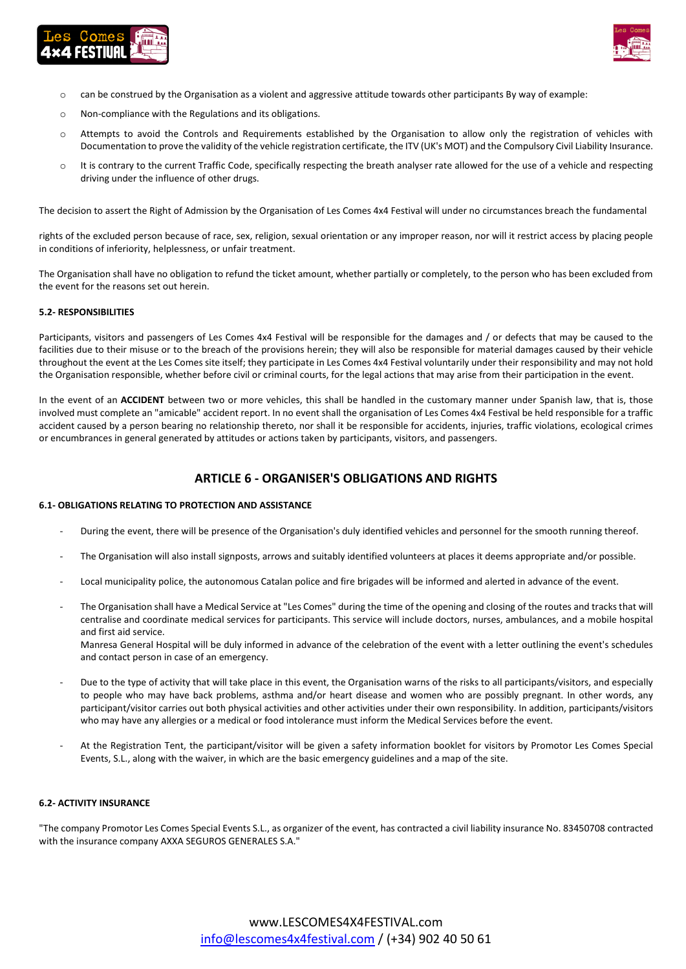



- $\circ$  can be construed by the Organisation as a violent and aggressive attitude towards other participants By way of example:
- o Non-compliance with the Regulations and its obligations.
- o Attempts to avoid the Controls and Requirements established by the Organisation to allow only the registration of vehicles with Documentation to prove the validity of the vehicle registration certificate, the ITV (UK's MOT) and the Compulsory Civil Liability Insurance.
- o It is contrary to the current Traffic Code, specifically respecting the breath analyser rate allowed for the use of a vehicle and respecting driving under the influence of other drugs.

The decision to assert the Right of Admission by the Organisation of Les Comes 4x4 Festival will under no circumstances breach the fundamental

rights of the excluded person because of race, sex, religion, sexual orientation or any improper reason, nor will it restrict access by placing people in conditions of inferiority, helplessness, or unfair treatment.

The Organisation shall have no obligation to refund the ticket amount, whether partially or completely, to the person who has been excluded from the event for the reasons set out herein.

## **5.2- RESPONSIBILITIES**

Participants, visitors and passengers of Les Comes 4x4 Festival will be responsible for the damages and / or defects that may be caused to the facilities due to their misuse or to the breach of the provisions herein; they will also be responsible for material damages caused by their vehicle throughout the event at the Les Comes site itself; they participate in Les Comes 4x4 Festival voluntarily under their responsibility and may not hold the Organisation responsible, whether before civil or criminal courts, for the legal actions that may arise from their participation in the event.

In the event of an **ACCIDENT** between two or more vehicles, this shall be handled in the customary manner under Spanish law, that is, those involved must complete an "amicable" accident report. In no event shall the organisation of Les Comes 4x4 Festival be held responsible for a traffic accident caused by a person bearing no relationship thereto, nor shall it be responsible for accidents, injuries, traffic violations, ecological crimes or encumbrances in general generated by attitudes or actions taken by participants, visitors, and passengers.

## **ARTICLE 6 - ORGANISER'S OBLIGATIONS AND RIGHTS**

#### **6.1- OBLIGATIONS RELATING TO PROTECTION AND ASSISTANCE**

- During the event, there will be presence of the Organisation's duly identified vehicles and personnel for the smooth running thereof.
- The Organisation will also install signposts, arrows and suitably identified volunteers at places it deems appropriate and/or possible.
- Local municipality police, the autonomous Catalan police and fire brigades will be informed and alerted in advance of the event.
- The Organisation shall have a Medical Service at "Les Comes" during the time of the opening and closing of the routes and tracks that will centralise and coordinate medical services for participants. This service will include doctors, nurses, ambulances, and a mobile hospital and first aid service.

Manresa General Hospital will be duly informed in advance of the celebration of the event with a letter outlining the event's schedules and contact person in case of an emergency.

- Due to the type of activity that will take place in this event, the Organisation warns of the risks to all participants/visitors, and especially to people who may have back problems, asthma and/or heart disease and women who are possibly pregnant. In other words, any participant/visitor carries out both physical activities and other activities under their own responsibility. In addition, participants/visitors who may have any allergies or a medical or food intolerance must inform the Medical Services before the event.
- At the Registration Tent, the participant/visitor will be given a safety information booklet for visitors by Promotor Les Comes Special Events, S.L., along with the waiver, in which are the basic emergency guidelines and a map of the site.

## **6.2- ACTIVITY INSURANCE**

"The company Promotor Les Comes Special Events S.L., as organizer of the event, has contracted a civil liability insurance No. 83450708 contracted with the insurance company AXXA SEGUROS GENERALES S.A."